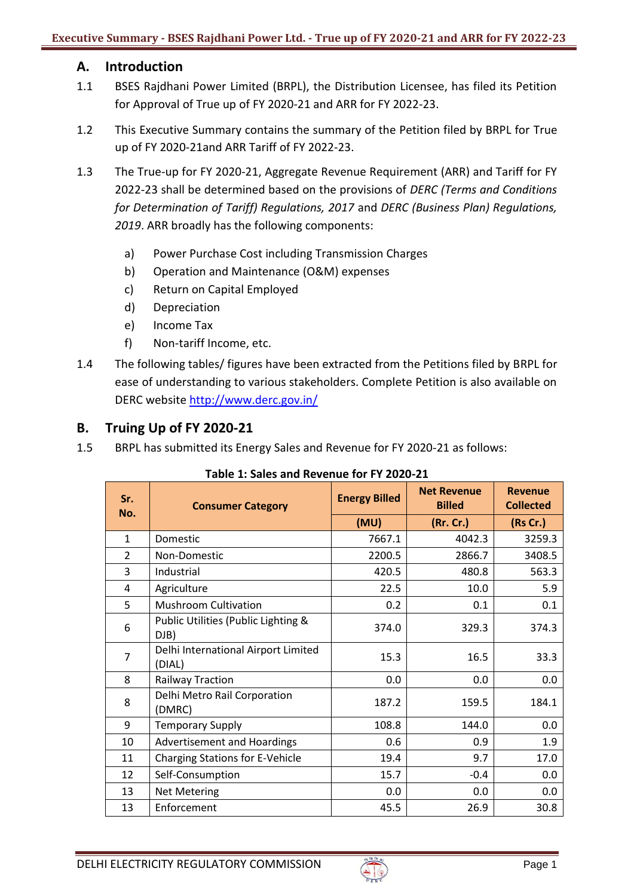# **A. Introduction**

- 1.1 BSES Rajdhani Power Limited (BRPL), the Distribution Licensee, has filed its Petition for Approval of True up of FY 2020-21 and ARR for FY 2022-23.
- 1.2 This Executive Summary contains the summary of the Petition filed by BRPL for True up of FY 2020-21and ARR Tariff of FY 2022-23.
- 1.3 The True-up for FY 2020-21, Aggregate Revenue Requirement (ARR) and Tariff for FY 2022-23 shall be determined based on the provisions of *DERC (Terms and Conditions for Determination of Tariff) Regulations, 2017* and *DERC (Business Plan) Regulations, 2019*. ARR broadly has the following components:
	- a) Power Purchase Cost including Transmission Charges
	- b) Operation and Maintenance (O&M) expenses
	- c) Return on Capital Employed
	- d) Depreciation
	- e) Income Tax
	- f) Non-tariff Income, etc.
- 1.4 The following tables/ figures have been extracted from the Petitions filed by BRPL for ease of understanding to various stakeholders. Complete Petition is also available on DERC website<http://www.derc.gov.in/>

# **B. Truing Up of FY 2020-21**

1.5 BRPL has submitted its Energy Sales and Revenue for FY 2020-21 as follows:

| Sr.<br>No.     | <b>Consumer Category</b>                      | <b>Energy Billed</b> | <b>Net Revenue</b><br><b>Billed</b> | <b>Revenue</b><br><b>Collected</b> |
|----------------|-----------------------------------------------|----------------------|-------------------------------------|------------------------------------|
|                |                                               | (MU)                 | (Rr. Cr.)                           | (Rs Cr.)                           |
| $\mathbf{1}$   | Domestic                                      | 7667.1               | 4042.3                              | 3259.3                             |
| $\overline{2}$ | Non-Domestic                                  | 2200.5               | 2866.7                              | 3408.5                             |
| 3              | Industrial                                    | 420.5                | 480.8                               | 563.3                              |
| 4              | Agriculture                                   | 22.5                 | 10.0                                | 5.9                                |
| 5              | <b>Mushroom Cultivation</b>                   | 0.2                  | 0.1                                 | 0.1                                |
| 6              | Public Utilities (Public Lighting &<br>DJB)   | 374.0                | 329.3                               | 374.3                              |
| $\overline{7}$ | Delhi International Airport Limited<br>(DIAL) | 15.3                 | 16.5                                | 33.3                               |
| 8              | <b>Railway Traction</b>                       | 0.0                  | 0.0                                 | 0.0                                |
| 8              | Delhi Metro Rail Corporation<br>(DMRC)        | 187.2                | 159.5                               | 184.1                              |
| 9              | <b>Temporary Supply</b>                       | 108.8                | 144.0                               | 0.0                                |
| 10             | Advertisement and Hoardings                   | 0.6                  | 0.9                                 | 1.9                                |
| 11             | <b>Charging Stations for E-Vehicle</b>        | 19.4                 | 9.7                                 | 17.0                               |
| 12             | Self-Consumption                              | 15.7                 | $-0.4$                              | 0.0                                |
| 13             | <b>Net Metering</b>                           | 0.0                  | 0.0                                 | 0.0                                |
| 13             | Enforcement                                   | 45.5                 | 26.9                                | 30.8                               |

**Table 1: Sales and Revenue for FY 2020-21**

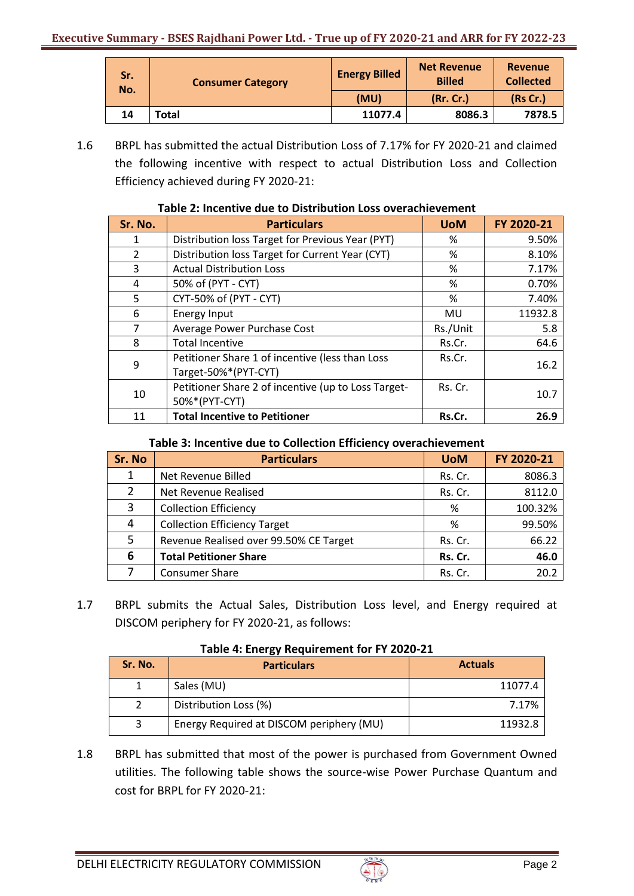| Sr.<br>No. | <b>Consumer Category</b> | Net Revenue<br><b>Energy Billed</b><br><b>Billed</b> | <b>Revenue</b><br><b>Collected</b> |          |
|------------|--------------------------|------------------------------------------------------|------------------------------------|----------|
|            |                          | (MU)                                                 | (Rr. Cr.)                          | (Rs Cr.) |
| 14         | Total                    | 11077.4                                              | 8086.3                             | 7878.5   |

1.6 BRPL has submitted the actual Distribution Loss of 7.17% for FY 2020-21 and claimed the following incentive with respect to actual Distribution Loss and Collection Efficiency achieved during FY 2020-21:

| Sr. No.        | <b>Particulars</b>                                                      | <b>UoM</b> | FY 2020-21 |
|----------------|-------------------------------------------------------------------------|------------|------------|
| 1              | Distribution loss Target for Previous Year (PYT)                        | %          | 9.50%      |
| $\overline{2}$ | Distribution loss Target for Current Year (CYT)                         | %          | 8.10%      |
| 3              | <b>Actual Distribution Loss</b>                                         | %          | 7.17%      |
| 4              | 50% of (PYT - CYT)                                                      | %          | 0.70%      |
| 5              | CYT-50% of (PYT - CYT)                                                  | %          | 7.40%      |
| 6              | Energy Input                                                            | MU         | 11932.8    |
| $\overline{7}$ | Average Power Purchase Cost                                             | Rs./Unit   | 5.8        |
| 8              | <b>Total Incentive</b>                                                  | Rs.Cr.     | 64.6       |
| 9              | Petitioner Share 1 of incentive (less than Loss<br>Target-50%*(PYT-CYT) | Rs.Cr.     | 16.2       |
| 10             | Petitioner Share 2 of incentive (up to Loss Target-<br>50%*(PYT-CYT)    | Rs. Cr.    | 10.7       |
| 11             | <b>Total Incentive to Petitioner</b>                                    | Rs.Cr.     | 26.9       |

### **Table 2: Incentive due to Distribution Loss overachievement**

### **Table 3: Incentive due to Collection Efficiency overachievement**

| Sr. No | <b>Particulars</b>                     | <b>UoM</b> | FY 2020-21 |
|--------|----------------------------------------|------------|------------|
| 1      | Net Revenue Billed                     | Rs. Cr.    | 8086.3     |
| 2      | Net Revenue Realised                   | Rs. Cr.    | 8112.0     |
| 3      | <b>Collection Efficiency</b>           | %          | 100.32%    |
| 4      | <b>Collection Efficiency Target</b>    | %          | 99.50%     |
| 5      | Revenue Realised over 99.50% CE Target | Rs. Cr.    | 66.22      |
| 6      | <b>Total Petitioner Share</b>          | Rs. Cr.    | 46.0       |
|        | <b>Consumer Share</b>                  | Rs. Cr.    | 20.2       |

1.7 BRPL submits the Actual Sales, Distribution Loss level, and Energy required at DISCOM periphery for FY 2020-21, as follows:

| Sr. No. | <b>Particulars</b>                       | <b>Actuals</b> |
|---------|------------------------------------------|----------------|
|         | Sales (MU)                               | 11077.4        |
|         | Distribution Loss (%)                    | 7.17%          |
|         | Energy Required at DISCOM periphery (MU) | 11932.8        |

#### **Table 4: Energy Requirement for FY 2020-21**

1.8 BRPL has submitted that most of the power is purchased from Government Owned utilities. The following table shows the source-wise Power Purchase Quantum and cost for BRPL for FY 2020-21:

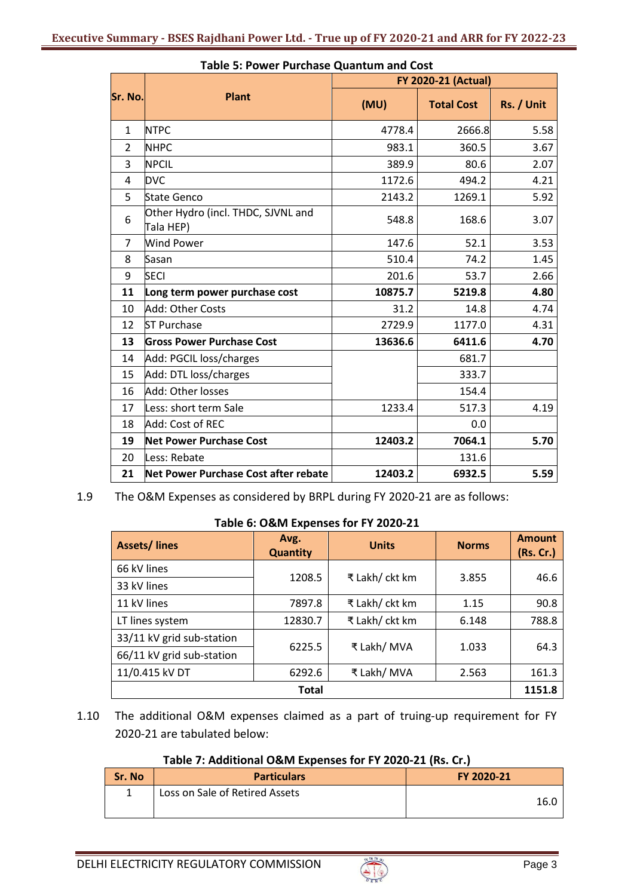|                | <b>FY 2020-21 (Actual)</b>                      |         |                   |            |
|----------------|-------------------------------------------------|---------|-------------------|------------|
| Sr. No.        | <b>Plant</b>                                    | (MU)    | <b>Total Cost</b> | Rs. / Unit |
| $\mathbf{1}$   | <b>NTPC</b>                                     | 4778.4  | 2666.8            | 5.58       |
| $\overline{2}$ | <b>NHPC</b>                                     | 983.1   | 360.5             | 3.67       |
| 3              | <b>NPCIL</b>                                    | 389.9   | 80.6              | 2.07       |
| 4              | <b>DVC</b>                                      | 1172.6  | 494.2             | 4.21       |
| 5              | <b>State Genco</b>                              | 2143.2  | 1269.1            | 5.92       |
| 6              | Other Hydro (incl. THDC, SJVNL and<br>Tala HEP) | 548.8   | 168.6             | 3.07       |
| 7              | <b>Wind Power</b>                               | 147.6   | 52.1              | 3.53       |
| 8              | Sasan                                           | 510.4   | 74.2              | 1.45       |
| 9              | <b>SECI</b>                                     | 201.6   | 53.7              | 2.66       |
| 11             | Long term power purchase cost                   | 10875.7 | 5219.8            | 4.80       |
| 10             | Add: Other Costs                                | 31.2    | 14.8              | 4.74       |
| 12             | <b>ST Purchase</b>                              | 2729.9  | 1177.0            | 4.31       |
| 13             | <b>Gross Power Purchase Cost</b>                | 13636.6 | 6411.6            | 4.70       |
| 14             | Add: PGCIL loss/charges                         |         | 681.7             |            |
| 15             | Add: DTL loss/charges                           |         | 333.7             |            |
| 16             | Add: Other losses                               |         | 154.4             |            |
| 17             | Less: short term Sale                           | 1233.4  | 517.3             | 4.19       |
| 18             | Add: Cost of REC                                |         | 0.0               |            |
| 19             | <b>Net Power Purchase Cost</b>                  | 12403.2 | 7064.1            | 5.70       |
| 20             | Less: Rebate                                    |         | 131.6             |            |
| 21             | Net Power Purchase Cost after rebate            | 12403.2 | 6932.5            | 5.59       |

# **Table 5: Power Purchase Quantum and Cost**

1.9 The O&M Expenses as considered by BRPL during FY 2020-21 are as follows:

#### **Table 6: O&M Expenses for FY 2020-21**

| <b>Assets/lines</b>       | Avg.<br><b>Quantity</b> | <b>Units</b>   | <b>Norms</b> | <b>Amount</b><br>(Rs. Cr.) |
|---------------------------|-------------------------|----------------|--------------|----------------------------|
| 66 kV lines               | 1208.5                  | ₹ Lakh/ ckt km | 3.855        | 46.6                       |
| 33 kV lines               |                         |                |              |                            |
| 11 kV lines               | 7897.8                  | ₹ Lakh/ ckt km | 1.15         | 90.8                       |
| LT lines system           | 12830.7                 | ₹ Lakh/ ckt km | 6.148        | 788.8                      |
| 33/11 kV grid sub-station |                         |                |              |                            |
| 66/11 kV grid sub-station | 6225.5                  | ₹ Lakh/ MVA    | 1.033        | 64.3                       |
| 11/0.415 kV DT            | 6292.6                  | ₹ Lakh/ MVA    | 2.563        | 161.3                      |
|                           | <b>Total</b>            |                |              | 1151.8                     |

1.10 The additional O&M expenses claimed as a part of truing‐up requirement for FY 2020‐21 are tabulated below:

### **Table 7: Additional O&M Expenses for FY 2020-21 (Rs. Cr.)**

| Sr. No | <b>Particulars</b>             | FY 2020-21 |
|--------|--------------------------------|------------|
|        | Loss on Sale of Retired Assets | 16.C       |

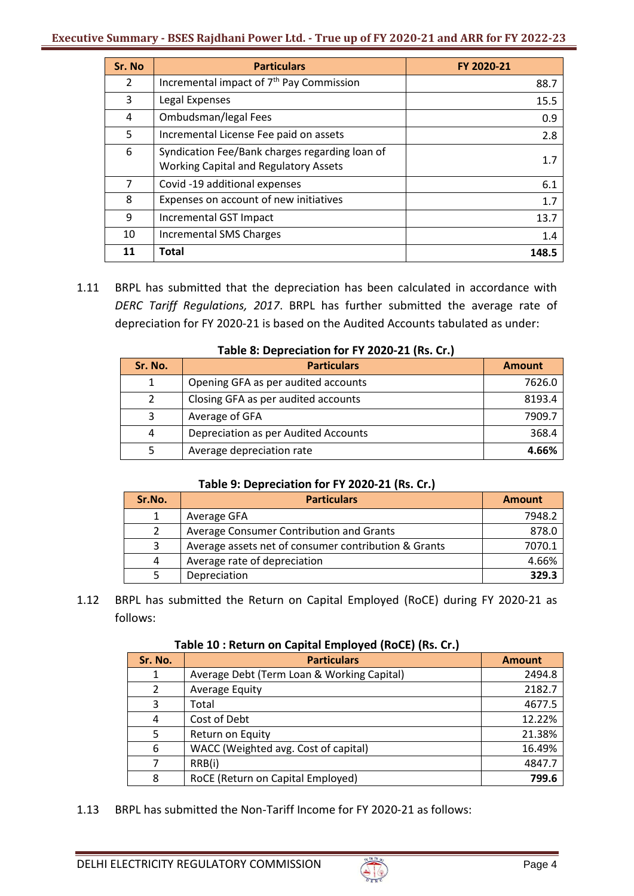| Sr. No         | <b>Particulars</b>                                                                             | FY 2020-21 |
|----------------|------------------------------------------------------------------------------------------------|------------|
| $\overline{2}$ | Incremental impact of 7 <sup>th</sup> Pay Commission                                           | 88.7       |
| 3              | Legal Expenses                                                                                 | 15.5       |
| 4              | Ombudsman/legal Fees                                                                           | 0.9        |
| 5              | Incremental License Fee paid on assets                                                         | 2.8        |
| 6              | Syndication Fee/Bank charges regarding loan of<br><b>Working Capital and Regulatory Assets</b> | 1.7        |
| 7              | Covid -19 additional expenses                                                                  | 6.1        |
| 8              | Expenses on account of new initiatives                                                         | 1.7        |
| 9              | Incremental GST Impact                                                                         | 13.7       |
| 10             | <b>Incremental SMS Charges</b>                                                                 | 1.4        |
| 11             | Total                                                                                          | 148.5      |

1.11 BRPL has submitted that the depreciation has been calculated in accordance with *DERC Tariff Regulations, 2017*. BRPL has further submitted the average rate of depreciation for FY 2020-21 is based on the Audited Accounts tabulated as under:

| Sr. No. | <b>Particulars</b>                   | <b>Amount</b> |
|---------|--------------------------------------|---------------|
| 1       | Opening GFA as per audited accounts  | 7626.0        |
|         | Closing GFA as per audited accounts  | 8193.4        |
| 3       | Average of GFA                       | 7909.7        |
| 4       | Depreciation as per Audited Accounts | 368.4         |
|         | Average depreciation rate            | 4.66%         |

#### **Table 8: Depreciation for FY 2020-21 (Rs. Cr.)**

# **Table 9: Depreciation for FY 2020-21 (Rs. Cr.)**

| Sr.No. | <b>Particulars</b>                                   | <b>Amount</b> |
|--------|------------------------------------------------------|---------------|
|        | Average GFA                                          | 7948.2        |
|        | Average Consumer Contribution and Grants             | 878.0         |
|        | Average assets net of consumer contribution & Grants | 7070.1        |
| 4      | Average rate of depreciation                         | 4.66%         |
|        | Depreciation                                         | 329.3         |

1.12 BRPL has submitted the Return on Capital Employed (RoCE) during FY 2020-21 as follows:

#### **Table 10 : Return on Capital Employed (RoCE) (Rs. Cr.)**

| Sr. No. | <b>Particulars</b>                         | <b>Amount</b> |
|---------|--------------------------------------------|---------------|
| 1       | Average Debt (Term Loan & Working Capital) | 2494.8        |
| 2       | Average Equity                             | 2182.7        |
| 3       | Total                                      | 4677.5        |
| 4       | Cost of Debt                               | 12.22%        |
| 5       | Return on Equity                           | 21.38%        |
| 6       | WACC (Weighted avg. Cost of capital)       | 16.49%        |
|         | RRB(i)                                     | 4847.7        |
| 8       | RoCE (Return on Capital Employed)          | 799.6         |

1.13 BRPL has submitted the Non-Tariff Income for FY 2020-21 as follows:

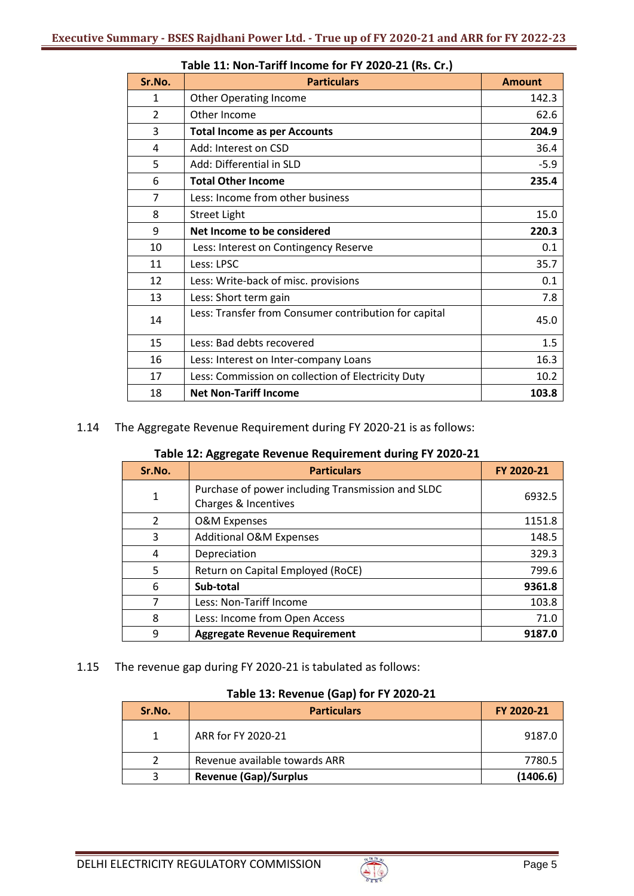| Sr.No.         | <b>Particulars</b>                                    | <b>Amount</b> |
|----------------|-------------------------------------------------------|---------------|
| 1              | <b>Other Operating Income</b>                         | 142.3         |
| $\overline{2}$ | Other Income                                          | 62.6          |
| 3              | <b>Total Income as per Accounts</b>                   | 204.9         |
| 4              | Add: Interest on CSD                                  | 36.4          |
| 5              | Add: Differential in SLD                              | $-5.9$        |
| 6              | <b>Total Other Income</b>                             | 235.4         |
| $\overline{7}$ | Less: Income from other business                      |               |
| 8              | <b>Street Light</b>                                   | 15.0          |
| 9              | Net Income to be considered                           | 220.3         |
| 10             | Less: Interest on Contingency Reserve                 | 0.1           |
| 11             | Less: LPSC                                            | 35.7          |
| 12             | Less: Write-back of misc. provisions                  | 0.1           |
| 13             | Less: Short term gain                                 | 7.8           |
| 14             | Less: Transfer from Consumer contribution for capital | 45.0          |
| 15             | Less: Bad debts recovered                             | 1.5           |
| 16             | Less: Interest on Inter-company Loans                 | 16.3          |
| 17             | Less: Commission on collection of Electricity Duty    | 10.2          |
| 18             | <b>Net Non-Tariff Income</b>                          | 103.8         |

# **Table 11: Non-Tariff Income for FY 2020-21 (Rs. Cr.)**

1.14 The Aggregate Revenue Requirement during FY 2020-21 is as follows:

| Sr.No.         | <b>Particulars</b>                                                        | FY 2020-21 |
|----------------|---------------------------------------------------------------------------|------------|
| 1              | Purchase of power including Transmission and SLDC<br>Charges & Incentives | 6932.5     |
| $\overline{2}$ | <b>O&amp;M Expenses</b>                                                   | 1151.8     |
| 3              | <b>Additional O&amp;M Expenses</b>                                        | 148.5      |
| 4              | Depreciation                                                              | 329.3      |
| 5              | Return on Capital Employed (RoCE)                                         | 799.6      |
| 6              | Sub-total                                                                 | 9361.8     |
| 7              | Less: Non-Tariff Income                                                   | 103.8      |
| 8              | Less: Income from Open Access                                             | 71.0       |
| 9              | <b>Aggregate Revenue Requirement</b>                                      | 9187.0     |

1.15 The revenue gap during FY 2020-21 is tabulated as follows:

## **Table 13: Revenue (Gap) for FY 2020-21**

| Sr.No. | <b>Particulars</b>            | FY 2020-21 |
|--------|-------------------------------|------------|
|        | ARR for FY 2020-21            | 9187.0     |
|        | Revenue available towards ARR | 7780.5     |
|        | <b>Revenue (Gap)/Surplus</b>  | (1406.6)   |

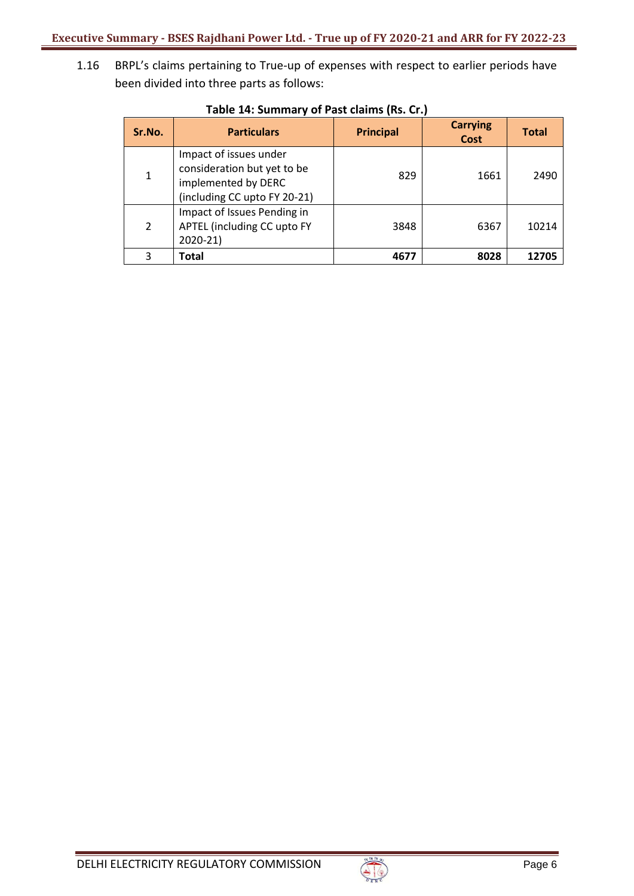1.16 BRPL's claims pertaining to True‐up of expenses with respect to earlier periods have been divided into three parts as follows:

| Sr.No.      | <b>Particulars</b>                                                                                           | <b>Principal</b> | <b>Carrying</b><br><b>Cost</b> | <b>Total</b> |
|-------------|--------------------------------------------------------------------------------------------------------------|------------------|--------------------------------|--------------|
| $\mathbf 1$ | Impact of issues under<br>consideration but yet to be<br>implemented by DERC<br>(including CC upto FY 20-21) | 829              | 1661                           | 2490         |
| 2           | Impact of Issues Pending in<br>APTEL (including CC upto FY<br>$2020 - 21$                                    | 3848             | 6367                           | 10214        |
| 3           | Total                                                                                                        | 4677             | 8028                           | 12705        |

# **Table 14: Summary of Past claims (Rs. Cr.)**

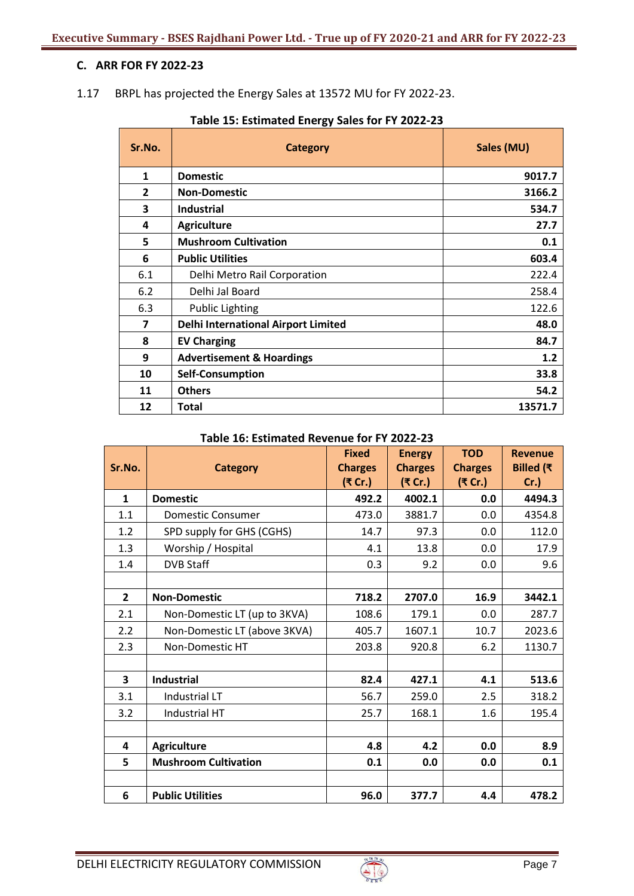## **C. ARR FOR FY 2022-23**

1.17 BRPL has projected the Energy Sales at 13572 MU for FY 2022-23.

| Sr.No.         | <b>Category</b>                            | Sales (MU) |
|----------------|--------------------------------------------|------------|
| $\mathbf{1}$   | <b>Domestic</b>                            | 9017.7     |
| $\overline{2}$ | <b>Non-Domestic</b>                        | 3166.2     |
| 3              | Industrial                                 | 534.7      |
| 4              | <b>Agriculture</b>                         | 27.7       |
| 5              | <b>Mushroom Cultivation</b>                | 0.1        |
| 6              | <b>Public Utilities</b>                    | 603.4      |
| 6.1            | Delhi Metro Rail Corporation               | 222.4      |
| 6.2            | Delhi Jal Board                            | 258.4      |
| 6.3            | <b>Public Lighting</b>                     | 122.6      |
| 7              | <b>Delhi International Airport Limited</b> | 48.0       |
| 8              | <b>EV Charging</b>                         | 84.7       |
| 9              | <b>Advertisement &amp; Hoardings</b>       | 1.2        |
| 10             | <b>Self-Consumption</b>                    | 33.8       |
| 11             | <b>Others</b>                              | 54.2       |
| 12             | <b>Total</b><br>13571.7                    |            |

# **Table 15: Estimated Energy Sales for FY 2022-23**

| Table 16: Estimated Revenue for FY 2022-23 |  |  |
|--------------------------------------------|--|--|
|--------------------------------------------|--|--|

| Sr.No.         | <b>Category</b>              | <b>Fixed</b><br><b>Charges</b> | <b>Energy</b><br><b>Charges</b> | <b>TOD</b><br><b>Charges</b> | <b>Revenue</b><br>Billed ( $\overline{\tau}$ |
|----------------|------------------------------|--------------------------------|---------------------------------|------------------------------|----------------------------------------------|
|                |                              | (₹ Cr.)                        | (₹ Cr.)                         | (₹ Cr.)                      | $Cr.$ )                                      |
| $\mathbf{1}$   | <b>Domestic</b>              | 492.2                          | 4002.1                          | 0.0                          | 4494.3                                       |
| 1.1            | <b>Domestic Consumer</b>     | 473.0                          | 3881.7                          | 0.0                          | 4354.8                                       |
| 1.2            | SPD supply for GHS (CGHS)    | 14.7                           | 97.3                            | 0.0                          | 112.0                                        |
| 1.3            | Worship / Hospital           | 4.1                            | 13.8                            | 0.0                          | 17.9                                         |
| 1.4            | <b>DVB Staff</b>             | 0.3                            | 9.2                             | 0.0                          | 9.6                                          |
|                |                              |                                |                                 |                              |                                              |
| $\overline{2}$ | <b>Non-Domestic</b>          | 718.2                          | 2707.0                          | 16.9                         | 3442.1                                       |
| 2.1            | Non-Domestic LT (up to 3KVA) | 108.6                          | 179.1                           | 0.0                          | 287.7                                        |
| 2.2            | Non-Domestic LT (above 3KVA) | 405.7                          | 1607.1                          | 10.7                         | 2023.6                                       |
| 2.3            | Non-Domestic HT              | 203.8                          | 920.8                           | 6.2                          | 1130.7                                       |
|                |                              |                                |                                 |                              |                                              |
| 3              | <b>Industrial</b>            | 82.4                           | 427.1                           | 4.1                          | 513.6                                        |
| 3.1            | <b>Industrial LT</b>         | 56.7                           | 259.0                           | 2.5                          | 318.2                                        |
| 3.2            | Industrial HT                | 25.7                           | 168.1                           | 1.6                          | 195.4                                        |
|                |                              |                                |                                 |                              |                                              |
| 4              | <b>Agriculture</b>           | 4.8                            | 4.2                             | 0.0                          | 8.9                                          |
| 5              | <b>Mushroom Cultivation</b>  | 0.1                            | 0.0                             | 0.0                          | 0.1                                          |
|                |                              |                                |                                 |                              |                                              |
| 6              | <b>Public Utilities</b>      | 96.0                           | 377.7                           | 4.4                          | 478.2                                        |

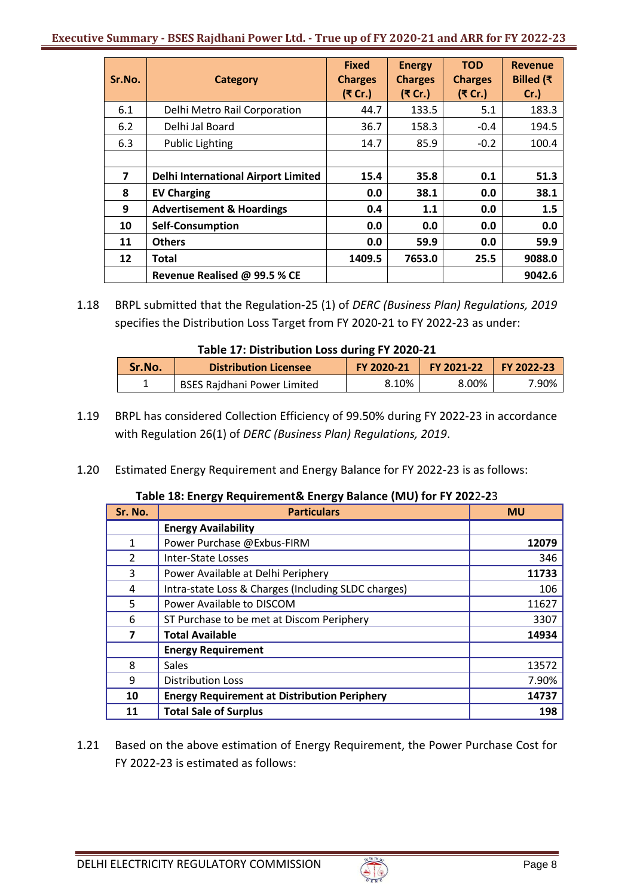### **Executive Summary - BSES Rajdhani Power Ltd. - True up of FY 2020-21 and ARR for FY 2022-23**

| Sr.No. | <b>Category</b>                            | <b>Fixed</b><br><b>Charges</b><br>(₹ Cr.) | <b>Energy</b><br><b>Charges</b><br>(₹ Cr.) | <b>TOD</b><br><b>Charges</b><br>(₹ Cr.) | <b>Revenue</b><br>Billed (₹<br>$Cr.$ ) |
|--------|--------------------------------------------|-------------------------------------------|--------------------------------------------|-----------------------------------------|----------------------------------------|
| 6.1    | Delhi Metro Rail Corporation               | 44.7                                      | 133.5                                      | 5.1                                     | 183.3                                  |
| 6.2    | Delhi Jal Board                            | 36.7                                      | 158.3                                      | $-0.4$                                  | 194.5                                  |
| 6.3    | <b>Public Lighting</b>                     | 14.7                                      | 85.9                                       | $-0.2$                                  | 100.4                                  |
|        |                                            |                                           |                                            |                                         |                                        |
| 7      | <b>Delhi International Airport Limited</b> | 15.4                                      | 35.8                                       | 0.1                                     | 51.3                                   |
| 8      | <b>EV Charging</b>                         | 0.0                                       | 38.1                                       | 0.0                                     | 38.1                                   |
| 9      | <b>Advertisement &amp; Hoardings</b>       | 0.4                                       | 1.1                                        | 0.0                                     | 1.5                                    |
| 10     | <b>Self-Consumption</b>                    | 0.0                                       | 0.0                                        | 0.0                                     | 0.0                                    |
| 11     | <b>Others</b>                              | 0.0                                       | 59.9                                       | 0.0                                     | 59.9                                   |
| 12     | Total                                      | 1409.5                                    | 7653.0                                     | 25.5                                    | 9088.0                                 |
|        | Revenue Realised @ 99.5 % CE               |                                           |                                            |                                         | 9042.6                                 |

1.18 BRPL submitted that the Regulation-25 (1) of *DERC (Business Plan) Regulations, 2019* specifies the Distribution Loss Target from FY 2020-21 to FY 2022-23 as under:

| Table 17: Distribution Loss during FY 2020-21 |  |
|-----------------------------------------------|--|
|                                               |  |

| Sr.No. | <b>Distribution Licensee</b>       | FY 2020-21 | <b>FY 2021-22</b> | FY 2022-23 |
|--------|------------------------------------|------------|-------------------|------------|
|        | <b>BSES Rajdhani Power Limited</b> | 8.10%      | 8.00%             | '.90%      |

- 1.19 BRPL has considered Collection Efficiency of 99.50% during FY 2022-23 in accordance with Regulation 26(1) of *DERC (Business Plan) Regulations, 2019*.
- 1.20 Estimated Energy Requirement and Energy Balance for FY 2022-23 is as follows:

|  |  |  | Table 18: Energy Requirement& Energy Balance (MU) for FY 2022-23 |
|--|--|--|------------------------------------------------------------------|
|--|--|--|------------------------------------------------------------------|

| Sr. No. | <b>Particulars</b>                                  | <b>MU</b> |
|---------|-----------------------------------------------------|-----------|
|         | <b>Energy Availability</b>                          |           |
| 1       | Power Purchase @Exbus-FIRM                          | 12079     |
| 2       | Inter-State Losses                                  | 346       |
| 3       | Power Available at Delhi Periphery                  | 11733     |
| 4       | Intra-state Loss & Charges (Including SLDC charges) | 106       |
| 5       | Power Available to DISCOM                           | 11627     |
| 6       | ST Purchase to be met at Discom Periphery           | 3307      |
| 7       | <b>Total Available</b>                              | 14934     |
|         | <b>Energy Requirement</b>                           |           |
| 8       | <b>Sales</b>                                        | 13572     |
| 9       | <b>Distribution Loss</b>                            | 7.90%     |
| 10      | <b>Energy Requirement at Distribution Periphery</b> | 14737     |
| 11      | <b>Total Sale of Surplus</b>                        | 198       |

1.21 Based on the above estimation of Energy Requirement, the Power Purchase Cost for FY 2022-23 is estimated as follows:

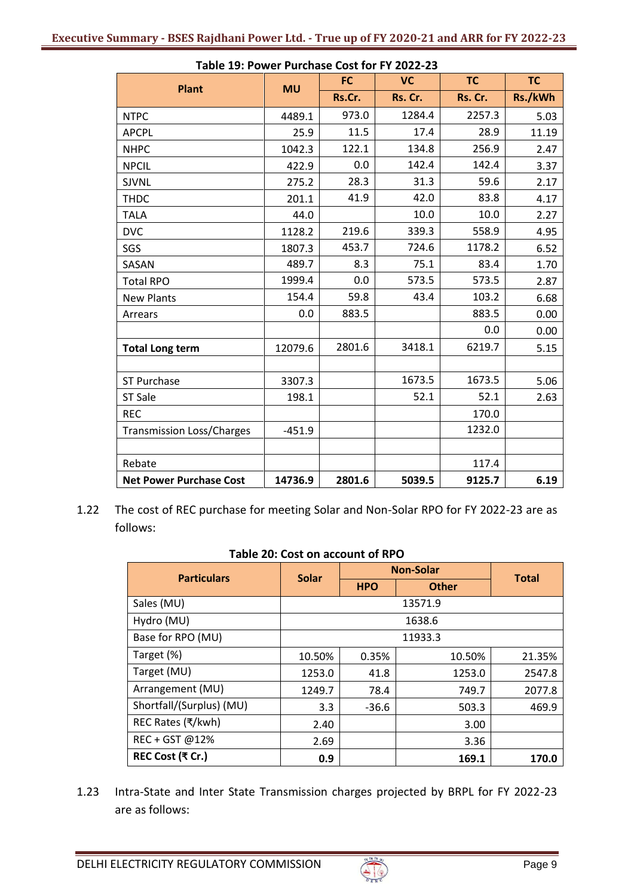| Table 19. FOWER FUILHASE COST TOFFFZOZZ-29 |           | <b>FC</b> | <b>VC</b> | <b>TC</b> | <b>TC</b> |
|--------------------------------------------|-----------|-----------|-----------|-----------|-----------|
| <b>Plant</b>                               | <b>MU</b> | Rs.Cr.    | Rs. Cr.   | Rs. Cr.   | Rs./kWh   |
| <b>NTPC</b>                                | 4489.1    | 973.0     | 1284.4    | 2257.3    | 5.03      |
| <b>APCPL</b>                               | 25.9      | 11.5      | 17.4      | 28.9      | 11.19     |
| <b>NHPC</b>                                | 1042.3    | 122.1     | 134.8     | 256.9     | 2.47      |
| <b>NPCIL</b>                               | 422.9     | 0.0       | 142.4     | 142.4     | 3.37      |
| <b>SJVNL</b>                               | 275.2     | 28.3      | 31.3      | 59.6      | 2.17      |
| <b>THDC</b>                                | 201.1     | 41.9      | 42.0      | 83.8      | 4.17      |
| <b>TALA</b>                                | 44.0      |           | 10.0      | 10.0      | 2.27      |
| <b>DVC</b>                                 | 1128.2    | 219.6     | 339.3     | 558.9     | 4.95      |
| SGS                                        | 1807.3    | 453.7     | 724.6     | 1178.2    | 6.52      |
| SASAN                                      | 489.7     | 8.3       | 75.1      | 83.4      | 1.70      |
| <b>Total RPO</b>                           | 1999.4    | 0.0       | 573.5     | 573.5     | 2.87      |
| <b>New Plants</b>                          | 154.4     | 59.8      | 43.4      | 103.2     | 6.68      |
| Arrears                                    | 0.0       | 883.5     |           | 883.5     | 0.00      |
|                                            |           |           |           | 0.0       | 0.00      |
| <b>Total Long term</b>                     | 12079.6   | 2801.6    | 3418.1    | 6219.7    | 5.15      |
|                                            |           |           |           |           |           |
| <b>ST Purchase</b>                         | 3307.3    |           | 1673.5    | 1673.5    | 5.06      |
| <b>ST Sale</b>                             | 198.1     |           | 52.1      | 52.1      | 2.63      |
| <b>REC</b>                                 |           |           |           | 170.0     |           |
| <b>Transmission Loss/Charges</b>           | $-451.9$  |           |           | 1232.0    |           |
|                                            |           |           |           |           |           |
| Rebate                                     |           |           |           | 117.4     |           |
| <b>Net Power Purchase Cost</b>             | 14736.9   | 2801.6    | 5039.5    | 9125.7    | 6.19      |

1.22 The cost of REC purchase for meeting Solar and Non-Solar RPO for FY 2022-23 are as follows:

| <b>Particulars</b>       | <b>Solar</b> | <b>Non-Solar</b> |              |              |  |  |
|--------------------------|--------------|------------------|--------------|--------------|--|--|
|                          |              | <b>HPO</b>       | <b>Other</b> | <b>Total</b> |  |  |
| Sales (MU)               | 13571.9      |                  |              |              |  |  |
| Hydro (MU)               |              |                  | 1638.6       |              |  |  |
| Base for RPO (MU)        |              |                  | 11933.3      |              |  |  |
| Target (%)               | 10.50%       | 0.35%            | 10.50%       | 21.35%       |  |  |
| Target (MU)              | 1253.0       | 41.8             | 1253.0       | 2547.8       |  |  |
| Arrangement (MU)         | 1249.7       | 78.4             | 749.7        | 2077.8       |  |  |
| Shortfall/(Surplus) (MU) | 3.3          | $-36.6$          | 503.3        | 469.9        |  |  |
| REC Rates (₹/kwh)        | 2.40         |                  | 3.00         |              |  |  |
| REC + GST @12%           | 2.69         |                  | 3.36         |              |  |  |
| REC Cost (₹ Cr.)         | 0.9          |                  | 169.1        | 170.0        |  |  |

#### **Table 20: Cost on account of RPO**

1.23 Intra-State and Inter State Transmission charges projected by BRPL for FY 2022-23 are as follows:

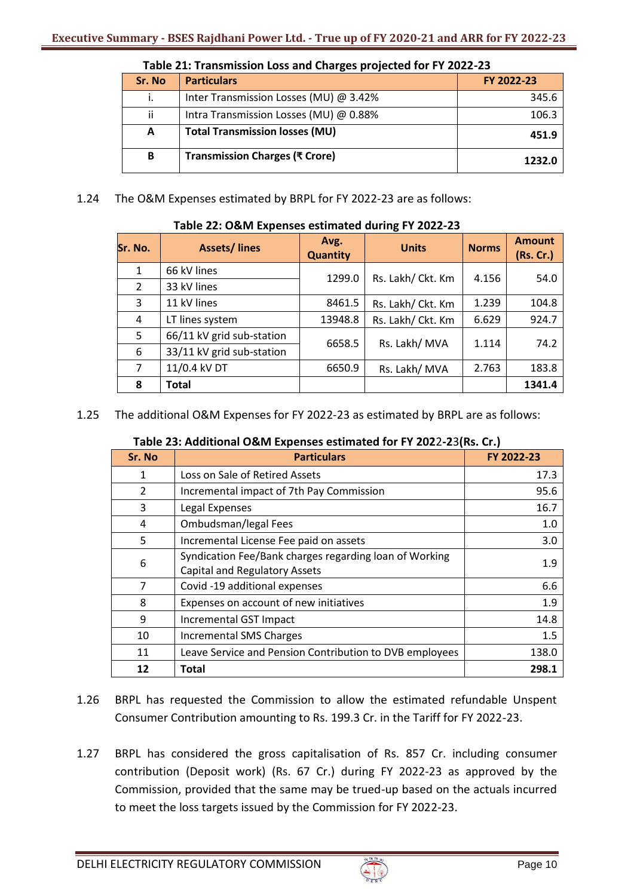| Sr. No | <b>Particulars</b>                     | FY 2022-23 |
|--------|----------------------------------------|------------|
| i.     | Inter Transmission Losses (MU) @ 3.42% | 345.6      |
| ii     | Intra Transmission Losses (MU) @ 0.88% | 106.3      |
| A      | <b>Total Transmission losses (MU)</b>  | 451.9      |
| B      | Transmission Charges (₹ Crore)         | 1232.0     |

1.24 The O&M Expenses estimated by BRPL for FY 2022-23 are as follows:

| Table 22: O&M Expenses estimated during FY 2022-23 |  |
|----------------------------------------------------|--|
|----------------------------------------------------|--|

| Sr. No.        | <b>Assets/lines</b>       | Avg.<br><b>Quantity</b> | <b>Units</b>      | <b>Norms</b> | <b>Amount</b><br>(Rs. Cr.) |
|----------------|---------------------------|-------------------------|-------------------|--------------|----------------------------|
| $\mathbf{1}$   | 66 kV lines               |                         | Rs. Lakh/ Ckt. Km |              |                            |
| 2              | 33 kV lines               | 1299.0                  |                   | 4.156        | 54.0                       |
| 3              | 11 kV lines               | 8461.5                  | Rs. Lakh/ Ckt. Km | 1.239        | 104.8                      |
| 4              | LT lines system           | 13948.8                 | Rs. Lakh/ Ckt. Km | 6.629        | 924.7                      |
| 5              | 66/11 kV grid sub-station | 6658.5                  | Rs. Lakh/ MVA     | 1.114        | 74.2                       |
| 6              | 33/11 kV grid sub-station |                         |                   |              |                            |
| $\overline{7}$ | 11/0.4 kV DT              | 6650.9                  | Rs. Lakh/ MVA     | 2.763        | 183.8                      |
| 8              | Total                     |                         |                   |              | 1341.4                     |

1.25 The additional O&M Expenses for FY 2022-23 as estimated by BRPL are as follows:

| Table 23: Additional O&M Expenses estimated for FY 2022-23(Rs. Cr.) |  |  |
|---------------------------------------------------------------------|--|--|
|---------------------------------------------------------------------|--|--|

| Sr. No | <b>Particulars</b>                                      | FY 2022-23 |
|--------|---------------------------------------------------------|------------|
| 1      | Loss on Sale of Retired Assets                          | 17.3       |
| 2      | Incremental impact of 7th Pay Commission                | 95.6       |
| 3      | Legal Expenses                                          | 16.7       |
| 4      | Ombudsman/legal Fees                                    | 1.0        |
| 5      | Incremental License Fee paid on assets                  | 3.0        |
| 6      | Syndication Fee/Bank charges regarding loan of Working  | 1.9        |
|        | Capital and Regulatory Assets                           |            |
| 7      | Covid -19 additional expenses                           | 6.6        |
| 8      | Expenses on account of new initiatives                  | 1.9        |
| 9      | Incremental GST Impact                                  | 14.8       |
| 10     | <b>Incremental SMS Charges</b>                          | 1.5        |
| 11     | Leave Service and Pension Contribution to DVB employees | 138.0      |
| 12     | Total                                                   | 298.1      |

- 1.26 BRPL has requested the Commission to allow the estimated refundable Unspent Consumer Contribution amounting to Rs. 199.3 Cr. in the Tariff for FY 2022-23.
- 1.27 BRPL has considered the gross capitalisation of Rs. 857 Cr. including consumer contribution (Deposit work) (Rs. 67 Cr.) during FY 2022-23 as approved by the Commission, provided that the same may be trued-up based on the actuals incurred to meet the loss targets issued by the Commission for FY 2022-23.

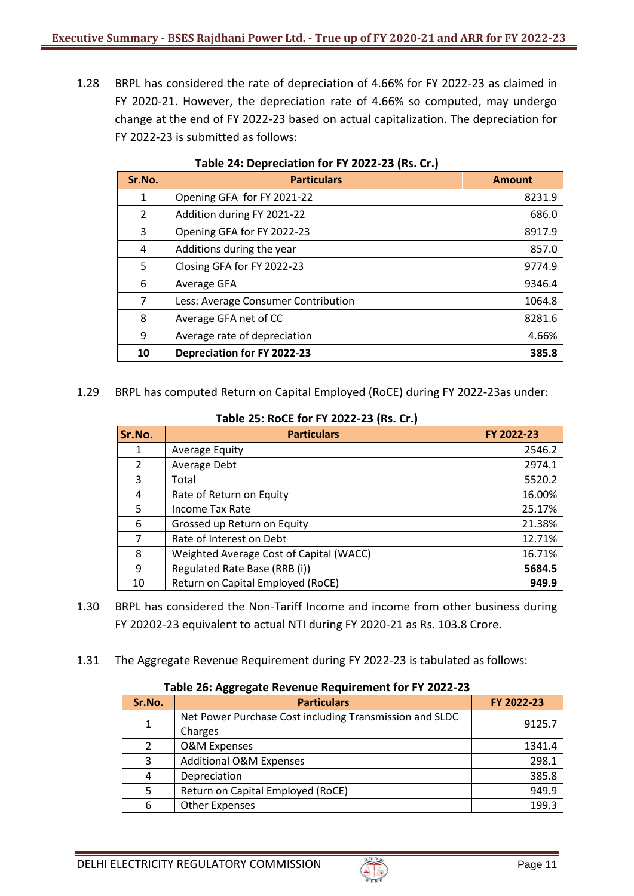1.28 BRPL has considered the rate of depreciation of 4.66% for FY 2022-23 as claimed in FY 2020-21. However, the depreciation rate of 4.66% so computed, may undergo change at the end of FY 2022-23 based on actual capitalization. The depreciation for FY 2022-23 is submitted as follows:

| Sr.No. | <b>Particulars</b>                  | <b>Amount</b> |
|--------|-------------------------------------|---------------|
| 1      | Opening GFA for FY 2021-22          | 8231.9        |
| 2      | Addition during FY 2021-22          | 686.0         |
| 3      | Opening GFA for FY 2022-23          | 8917.9        |
| 4      | Additions during the year           | 857.0         |
| 5      | Closing GFA for FY 2022-23          | 9774.9        |
| 6      | Average GFA                         | 9346.4        |
| 7      | Less: Average Consumer Contribution | 1064.8        |
| 8      | Average GFA net of CC               | 8281.6        |
| 9      | Average rate of depreciation        | 4.66%         |
| 10     | <b>Depreciation for FY 2022-23</b>  | 385.8         |

### **Table 24: Depreciation for FY 2022-23 (Rs. Cr.)**

1.29 BRPL has computed Return on Capital Employed (RoCE) during FY 2022-23as under:

| Sr.No.        | <b>Particulars</b>                      | FY 2022-23 |  |  |
|---------------|-----------------------------------------|------------|--|--|
|               | <b>Average Equity</b>                   | 2546.2     |  |  |
| $\mathcal{L}$ | Average Debt                            | 2974.1     |  |  |
| 3             | Total                                   | 5520.2     |  |  |
| 4             | Rate of Return on Equity                | 16.00%     |  |  |
| 5             | <b>Income Tax Rate</b>                  | 25.17%     |  |  |
| 6             | Grossed up Return on Equity             | 21.38%     |  |  |
|               | Rate of Interest on Debt                | 12.71%     |  |  |
| 8             | Weighted Average Cost of Capital (WACC) | 16.71%     |  |  |
| 9             | Regulated Rate Base (RRB (i))           | 5684.5     |  |  |
| 10            | Return on Capital Employed (RoCE)       | 949.9      |  |  |

**Table 25: RoCE for FY 2022-23 (Rs. Cr.)**

- 1.30 BRPL has considered the Non-Tariff Income and income from other business during FY 20202-23 equivalent to actual NTI during FY 2020-21 as Rs. 103.8 Crore.
- 1.31 The Aggregate Revenue Requirement during FY 2022-23 is tabulated as follows:

# **Table 26: Aggregate Revenue Requirement for FY 2022-23**

| Sr.No.        | <b>Particulars</b>                                                 | FY 2022-23 |  |  |  |
|---------------|--------------------------------------------------------------------|------------|--|--|--|
| 1             | Net Power Purchase Cost including Transmission and SLDC<br>Charges | 9125.7     |  |  |  |
| $\mathcal{P}$ | <b>O&amp;M Expenses</b>                                            | 1341.4     |  |  |  |
| 3             | <b>Additional O&amp;M Expenses</b>                                 | 298.1      |  |  |  |
| 4             | Depreciation                                                       | 385.8      |  |  |  |
| 5             | Return on Capital Employed (RoCE)                                  | 949.9      |  |  |  |
| 6             | <b>Other Expenses</b>                                              | 199.3      |  |  |  |

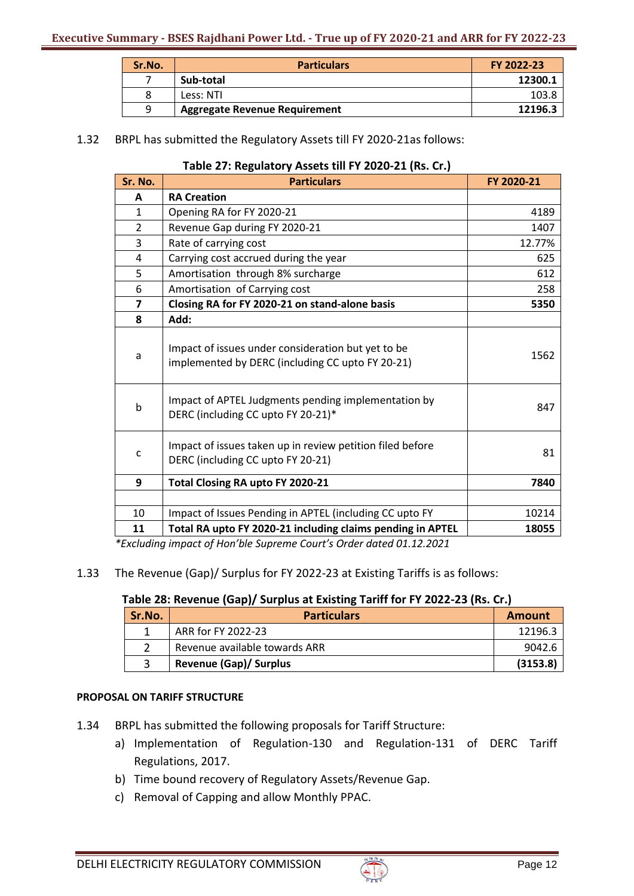| Sr.No. | <b>Particulars</b>            | FY 2022-23 |
|--------|-------------------------------|------------|
|        | Sub-total                     | 12300.1    |
|        | Less: NTI                     | 103.8      |
| q      | Aggregate Revenue Requirement | 12196.3    |

### 1.32 BRPL has submitted the Regulatory Assets till FY 2020-21as follows:

### **Table 27: Regulatory Assets till FY 2020-21 (Rs. Cr.)**

| Sr. No.                 | <b>Particulars</b>                                                                                     | FY 2020-21 |
|-------------------------|--------------------------------------------------------------------------------------------------------|------------|
| A                       | <b>RA Creation</b>                                                                                     |            |
| 1                       | Opening RA for FY 2020-21                                                                              | 4189       |
| 2                       | Revenue Gap during FY 2020-21                                                                          | 1407       |
| 3                       | Rate of carrying cost                                                                                  | 12.77%     |
| 4                       | Carrying cost accrued during the year                                                                  | 625        |
| 5                       | Amortisation through 8% surcharge                                                                      | 612        |
| 6                       | Amortisation of Carrying cost                                                                          | 258        |
| $\overline{\mathbf{z}}$ | Closing RA for FY 2020-21 on stand-alone basis                                                         | 5350       |
| 8                       | Add:                                                                                                   |            |
| a                       | Impact of issues under consideration but yet to be<br>implemented by DERC (including CC upto FY 20-21) | 1562       |
| $\mathsf b$             | Impact of APTEL Judgments pending implementation by<br>DERC (including CC upto FY 20-21)*              | 847        |
| C                       | Impact of issues taken up in review petition filed before<br>DERC (including CC upto FY 20-21)         | 81         |
| 9                       | Total Closing RA upto FY 2020-21                                                                       | 7840       |
|                         |                                                                                                        |            |
| 10                      | Impact of Issues Pending in APTEL (including CC upto FY                                                | 10214      |
| 11                      | Total RA upto FY 2020-21 including claims pending in APTEL                                             | 18055      |

*\*Excluding impact of Hon'ble Supreme Court's Order dated 01.12.2021*

#### 1.33 The Revenue (Gap)/ Surplus for FY 2022-23 at Existing Tariffs is as follows:

#### **Table 28: Revenue (Gap)/ Surplus at Existing Tariff for FY 2022-23 (Rs. Cr.)**

| Sr.No. | <b>Particulars</b>            | Amount   |
|--------|-------------------------------|----------|
|        | ARR for FY 2022-23            | 12196.3  |
|        | Revenue available towards ARR | 9042.6   |
|        | <b>Revenue (Gap)/ Surplus</b> | (3153.8) |

### **PROPOSAL ON TARIFF STRUCTURE**

- 1.34 BRPL has submitted the following proposals for Tariff Structure:
	- a) Implementation of Regulation-130 and Regulation-131 of DERC Tariff Regulations, 2017.
	- b) Time bound recovery of Regulatory Assets/Revenue Gap.
	- c) Removal of Capping and allow Monthly PPAC.